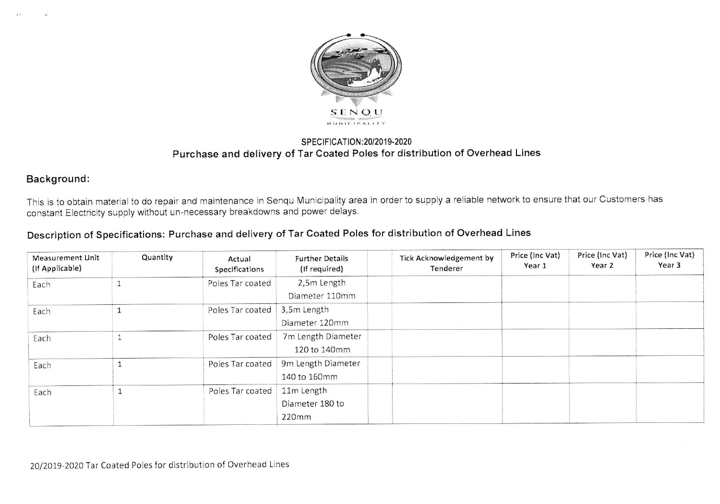

## SPECIFICATION: 20/2019-2020 Purchase and delivery of Tar Coated Poles for distribution of Overhead Lines

## Background:

This is to obtain material to do repair and maintenance in Senqu Municipality area in order to supply a reliable network to ensure that our Customers has constant Eiectricity supply without un-necessary breakdowns and power delays.

## Description of Specifications: Purchase and delivery of Tar Coated Poles for distribution of Overhead Lines

| <b>Measurement Unit</b><br>(If Applicable) | Quantity | Actual<br>Specifications       | <b>Further Details</b><br>(If required) | <b>Tick Acknowledgement by</b><br>Tenderer | Price (Inc Vat)<br>Year 1 | Price (Inc Vat)<br>Year 2 | Price (Inc Vat)<br>Year 3 |
|--------------------------------------------|----------|--------------------------------|-----------------------------------------|--------------------------------------------|---------------------------|---------------------------|---------------------------|
| Each                                       |          | Poles Tar coated               | 2,5m Length<br>Diameter 110mm           |                                            |                           |                           |                           |
| Each                                       |          | Poles Tar coated   3,5m Length | Diameter 120mm                          |                                            |                           |                           |                           |
| Each                                       |          | Poles Tar coated               | 7m Length Diameter<br>120 to 140mm      |                                            |                           |                           |                           |
| Each                                       |          | Poles Tar coated               | 9m Length Diameter<br>140 to 160mm      |                                            |                           |                           |                           |
| Each                                       |          | Poles Tar coated               | 11m Length<br>Diameter 180 to<br>220mm  |                                            |                           |                           |                           |